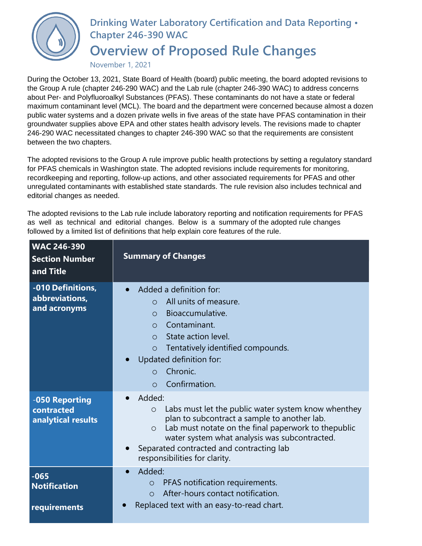

## **Drinking Water Laboratory Certification and Data Reporting • Chapter 246-390 WAC**

## **Overview of Proposed Rule Changes**

November 1, 2021

During the October 13, 2021, State Board of Health (board) public meeting, the board adopted revisions to the Group A rule (chapter 246-290 WAC) and the Lab rule (chapter 246-390 WAC) to address concerns about Per- and Polyfluoroalkyl Substances (PFAS). These contaminants do not have a state or federal maximum contaminant level (MCL). The board and the department were concerned because almost a dozen public water systems and a dozen private wells in five areas of the state have PFAS contamination in their groundwater supplies above EPA and other states health advisory levels. The revisions made to chapter 246-290 WAC necessitated changes to chapter 246-390 WAC so that the requirements are consistent between the two chapters.

The adopted revisions to the Group A rule improve public health protections by setting a regulatory standard for PFAS chemicals in Washington state. The adopted revisions include requirements for monitoring, recordkeeping and reporting, follow-up actions, and other associated requirements for PFAS and other unregulated contaminants with established state standards. The rule revision also includes technical and editorial changes as needed.

The adopted revisions to the Lab rule include laboratory reporting and notification requirements for PFAS as well as technical and editorial changes. Below is a summary of the adopted rule changes followed by a limited list of definitions that help explain core features of the rule.

| <b>WAC 246-390</b><br><b>Section Number</b><br>and Title | <b>Summary of Changes</b>                                                                                                                                                                                                                                                                                                             |
|----------------------------------------------------------|---------------------------------------------------------------------------------------------------------------------------------------------------------------------------------------------------------------------------------------------------------------------------------------------------------------------------------------|
| -010 Definitions,<br>abbreviations,<br>and acronyms      | Added a definition for:<br>All units of measure.<br>$\circ$<br>Bioaccumulative.<br>$\Omega$<br>Contaminant.<br>$\Omega$<br>State action level.<br>$\Omega$<br>Tentatively identified compounds.<br>$\circ$<br>Updated definition for:<br>Chronic.<br>$\Omega$<br>Confirmation.<br>$\Omega$                                            |
| -050 Reporting<br>contracted<br>analytical results       | Added:<br>$\bullet$<br>Labs must let the public water system know whenthey<br>$\circ$<br>plan to subcontract a sample to another lab.<br>Lab must notate on the final paperwork to thepublic<br>$\circ$<br>water system what analysis was subcontracted.<br>Separated contracted and contracting lab<br>responsibilities for clarity. |
| $-065$<br><b>Notification</b><br>requirements            | Added:<br>$\bullet$<br>PFAS notification requirements.<br>$\circ$<br>After-hours contact notification.<br>$\bigcirc$<br>Replaced text with an easy-to-read chart.                                                                                                                                                                     |